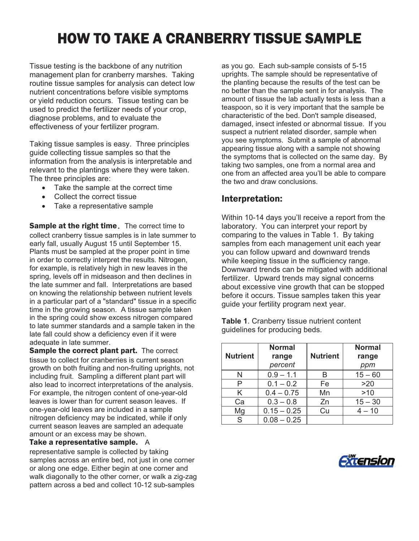## HOW TO TAKE A CRANBERRY TISSUE SAMPLE

Tissue testing is the backbone of any nutrition management plan for cranberry marshes. Taking routine tissue samples for analysis can detect low nutrient concentrations before visible symptoms or yield reduction occurs. Tissue testing can be used to predict the fertilizer needs of your crop, diagnose problems, and to evaluate the effectiveness of your fertilizer program.

Taking tissue samples is easy. Three principles guide collecting tissue samples so that the information from the analysis is interpretable and relevant to the plantings where they were taken. The three principles are:

- Take the sample at the correct time
- $\bullet$ Collect the correct tissue
- $\bullet$ Take a representative sample

Sample at the right time**.** The correct time to collect cranberry tissue samples is in late summer to early fall, usually August 15 until September 15. Plants must be sampled at the proper point in time in order to correctly interpret the results. Nitrogen, for example, is relatively high in new leaves in the spring, levels off in midseason and then declines in the late summer and fall. Interpretations are based on knowing the relationship between nutrient levels in a particular part of a "standard" tissue in a specific time in the growing season. A tissue sample taken in the spring could show excess nitrogen compared to late summer standards and a sample taken in the late fall could show a deficiency even if it were adequate in late summer.

Sample the correct plant part. The correct tissue to collect for cranberries is current season growth on both fruiting and non-fruiting uprights, not including fruit. Sampling a different plant part will also lead to incorrect interpretations of the analysis. For example, the nitrogen content of one-year-old leaves is lower than for current season leaves. If one-year-old leaves are included in a sample nitrogen deficiency may be indicated, while if only current season leaves are sampled an adequate amount or an excess may be shown.

## Take a representative sample.A

representative sample is collected by taking samples across an entire bed, not just in one corner or along one edge. Either begin at one corner and walk diagonally to the other corner, or walk a zig-zag pattern across a bed and collect 10-12 sub-samples

as you go. Each sub-sample consists of 5-15 uprights. The sample should be representative of the planting because the results of the test can be no better than the sample sent in for analysis. The amount of tissue the lab actually tests is less than a teaspoon, so it is very important that the sample be characteristic of the bed. Don't sample diseased, damaged, insect infested or abnormal tissue. If you suspect a nutrient related disorder, sample when you see symptoms. Submit a sample of abnormal appearing tissue along with a sample not showing the symptoms that is collected on the same day. By taking two samples, one from a normal area and one from an affected area you'll be able to compare the two and draw conclusions.

## Interpretation:

Within 10-14 days you'll receive a report from the laboratory. You can interpret your report by comparing to the values in Table 1. By taking samples from each management unit each year you can follow upward and downward trends while keeping tissue in the sufficiency range. Downward trends can be mitigated with additional fertilizer. Upward trends may signal concerns about excessive vine growth that can be stopped before it occurs. Tissue samples taken this year guide your fertility program next year.

**Table 1**. Cranberry tissue nutrient content guidelines for producing beds.

| <b>Nutrient</b> | <b>Normal</b><br>range<br>percent | <b>Nutrient</b> | <b>Normal</b><br>range<br>ppm |
|-----------------|-----------------------------------|-----------------|-------------------------------|
| N               | $0.9 - 1.1$                       |                 | $15 - 60$                     |
| P               | $0.1 - 0.2$                       | Fe              | >20                           |
| Κ               | $0.4 - 0.75$                      | Mn              | >10                           |
| Ca              | $0.3 - 0.8$                       | Zn              | $15 - 30$                     |
| Mg              | $0.15 - 0.25$                     | Cu              | $4 - 10$                      |
| S               | $0.08 - 0.25$                     |                 |                               |